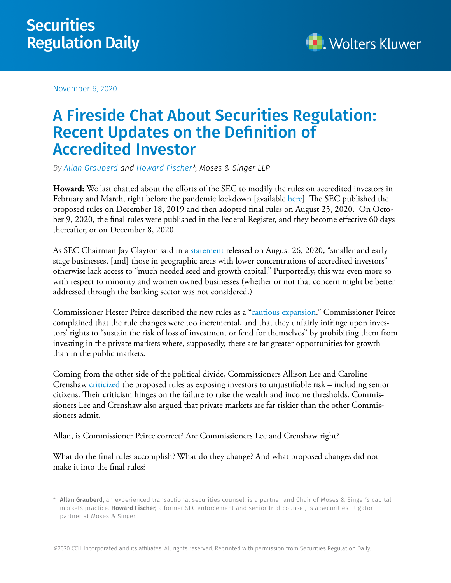November 6, 2020



## A Fireside Chat About Securities Regulation: Recent Updates on the Definition of Accredited Investor

*By [Allan Grauberd](https://www.mosessinger.com/attorneys/allan-grauberd) and [Howard Fischer](https://www.mosessinger.com/attorneys/howard-a-fischer)\*, Moses & Singer LLP*

**Howard:** We last chatted about the efforts of the SEC to modify the rules on accredited investors in February and March, right before the pandemic lockdown [available [here](http://business.cch.com/srd/SRD_MosesSinger_Expert-Spotlight_03-05-2020_final.pdf)]. The SEC published the proposed rules on December 18, 2019 and then adopted final rules on August 25, 2020. On October 9, 2020, the final rules were published in the Federal Register, and they become effective 60 days thereafter, or on December 8, 2020.

As SEC Chairman Jay Clayton said in a [statement](https://www.sec.gov/news/public-statement/clayton-accredited-investor-2020-08-26) released on August 26, 2020, "smaller and early stage businesses, [and] those in geographic areas with lower concentrations of accredited investors" otherwise lack access to "much needed seed and growth capital." Purportedly, this was even more so with respect to minority and women owned businesses (whether or not that concern might be better addressed through the banking sector was not considered.)

Commissioner Hester Peirce described the new rules as a ["cautious expansion](https://www.sec.gov/news/public-statement/peirce-accredited-investor-2020-08-26)." Commissioner Peirce complained that the rule changes were too incremental, and that they unfairly infringe upon investors' rights to "sustain the risk of loss of investment or fend for themselves" by prohibiting them from investing in the private markets where, supposedly, there are far greater opportunities for growth than in the public markets.

Coming from the other side of the political divide, Commissioners Allison Lee and Caroline Crenshaw [criticized](https://www.sec.gov/news/public-statement/lee-crenshaw-accredited-investor-2020-08-26) the proposed rules as exposing investors to unjustifiable risk – including senior citizens. Their criticism hinges on the failure to raise the wealth and income thresholds. Commissioners Lee and Crenshaw also argued that private markets are far riskier than the other Commissioners admit.

Allan, is Commissioner Peirce correct? Are Commissioners Lee and Crenshaw right?

What do the final rules accomplish? What do they change? And what proposed changes did not make it into the final rules?

<sup>\*</sup> Allan Grauberd, an experienced transactional securities counsel, is a partner and Chair of Moses & Singer's capital markets practice. Howard Fischer, a former SEC enforcement and senior trial counsel, is a securities litigator partner at Moses & Singer.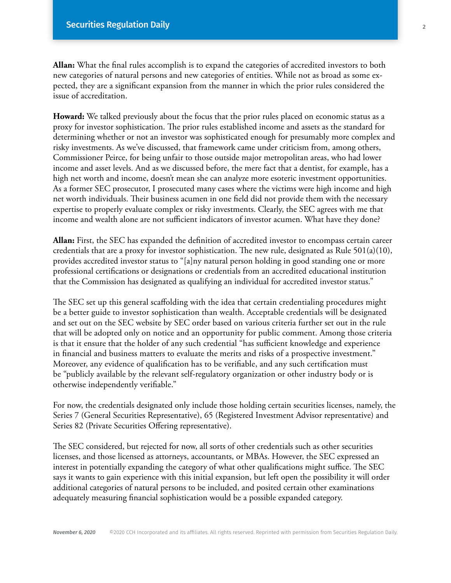**Allan:** What the final rules accomplish is to expand the categories of accredited investors to both new categories of natural persons and new categories of entities. While not as broad as some expected, they are a significant expansion from the manner in which the prior rules considered the issue of accreditation.

**Howard:** We talked previously about the focus that the prior rules placed on economic status as a proxy for investor sophistication. The prior rules established income and assets as the standard for determining whether or not an investor was sophisticated enough for presumably more complex and risky investments. As we've discussed, that framework came under criticism from, among others, Commissioner Peirce, for being unfair to those outside major metropolitan areas, who had lower income and asset levels. And as we discussed before, the mere fact that a dentist, for example, has a high net worth and income, doesn't mean she can analyze more esoteric investment opportunities. As a former SEC prosecutor, I prosecuted many cases where the victims were high income and high net worth individuals. Their business acumen in one field did not provide them with the necessary expertise to properly evaluate complex or risky investments. Clearly, the SEC agrees with me that income and wealth alone are not sufficient indicators of investor acumen. What have they done?

**Allan:** First, the SEC has expanded the definition of accredited investor to encompass certain career credentials that are a proxy for investor sophistication. The new rule, designated as Rule  $501(a)(10)$ , provides accredited investor status to "[a]ny natural person holding in good standing one or more professional certifications or designations or credentials from an accredited educational institution that the Commission has designated as qualifying an individual for accredited investor status."

The SEC set up this general scaffolding with the idea that certain credentialing procedures might be a better guide to investor sophistication than wealth. Acceptable credentials will be designated and set out on the SEC website by SEC order based on various criteria further set out in the rule that will be adopted only on notice and an opportunity for public comment. Among those criteria is that it ensure that the holder of any such credential "has sufficient knowledge and experience in financial and business matters to evaluate the merits and risks of a prospective investment." Moreover, any evidence of qualification has to be verifiable, and any such certification must be "publicly available by the relevant self-regulatory organization or other industry body or is otherwise independently verifiable."

For now, the credentials designated only include those holding certain securities licenses, namely, the Series 7 (General Securities Representative), 65 (Registered Investment Advisor representative) and Series 82 (Private Securities Offering representative).

The SEC considered, but rejected for now, all sorts of other credentials such as other securities licenses, and those licensed as attorneys, accountants, or MBAs. However, the SEC expressed an interest in potentially expanding the category of what other qualifications might suffice. The SEC says it wants to gain experience with this initial expansion, but left open the possibility it will order additional categories of natural persons to be included, and posited certain other examinations adequately measuring financial sophistication would be a possible expanded category.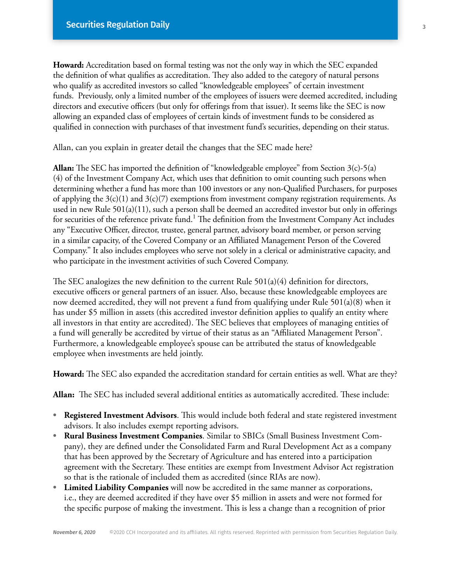**Howard:** Accreditation based on formal testing was not the only way in which the SEC expanded the definition of what qualifies as accreditation. They also added to the category of natural persons who qualify as accredited investors so called "knowledgeable employees" of certain investment funds. Previously, only a limited number of the employees of issuers were deemed accredited, including directors and executive officers (but only for offerings from that issuer). It seems like the SEC is now allowing an expanded class of employees of certain kinds of investment funds to be considered as qualified in connection with purchases of that investment fund's securities, depending on their status.

Allan, can you explain in greater detail the changes that the SEC made here?

**Allan:** The SEC has imported the definition of "knowledgeable employee" from Section 3(c)-5(a) (4) of the Investment Company Act, which uses that definition to omit counting such persons when determining whether a fund has more than 100 investors or any non-Qualified Purchasers, for purposes of applying the  $3(c)(1)$  and  $3(c)(7)$  exemptions from investment company registration requirements. As used in new Rule 501(a)(11), such a person shall be deemed an accredited investor but only in offerings for securities of the reference private fund.<sup>1</sup> The definition from the Investment Company Act includes any "Executive Officer, director, trustee, general partner, advisory board member, or person serving in a similar capacity, of the Covered Company or an Affiliated Management Person of the Covered Company." It also includes employees who serve not solely in a clerical or administrative capacity, and who participate in the investment activities of such Covered Company.

The SEC analogizes the new definition to the current Rule 501(a)(4) definition for directors, executive officers or general partners of an issuer. Also, because these knowledgeable employees are now deemed accredited, they will not prevent a fund from qualifying under Rule 501(a)(8) when it has under \$5 million in assets (this accredited investor definition applies to qualify an entity where all investors in that entity are accredited). The SEC believes that employees of managing entities of a fund will generally be accredited by virtue of their status as an "Affiliated Management Person". Furthermore, a knowledgeable employee's spouse can be attributed the status of knowledgeable employee when investments are held jointly.

**Howard:** The SEC also expanded the accreditation standard for certain entities as well. What are they?

**Allan:** The SEC has included several additional entities as automatically accredited. These include:

- **Registered Investment Advisors**. This would include both federal and state registered investment advisors. It also includes exempt reporting advisors.
- **Rural Business Investment Companies**. Similar to SBICs (Small Business Investment Company), they are defined under the Consolidated Farm and Rural Development Act as a company that has been approved by the Secretary of Agriculture and has entered into a participation agreement with the Secretary. These entities are exempt from Investment Advisor Act registration so that is the rationale of included them as accredited (since RIAs are now).
- **Limited Liability Companies** will now be accredited in the same manner as corporations, i.e., they are deemed accredited if they have over \$5 million in assets and were not formed for the specific purpose of making the investment. This is less a change than a recognition of prior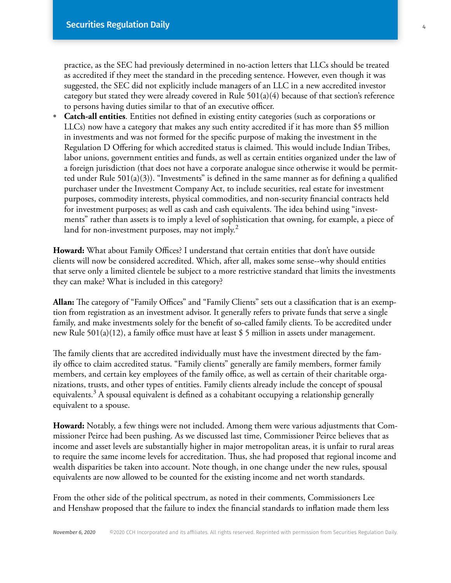practice, as the SEC had previously determined in no-action letters that LLCs should be treated as accredited if they meet the standard in the preceding sentence. However, even though it was suggested, the SEC did not explicitly include managers of an LLC in a new accredited investor category but stated they were already covered in Rule  $501(a)(4)$  because of that section's reference to persons having duties similar to that of an executive officer.

**• Catch-all entities**. Entities not defined in existing entity categories (such as corporations or LLCs) now have a category that makes any such entity accredited if it has more than \$5 million in investments and was not formed for the specific purpose of making the investment in the Regulation D Offering for which accredited status is claimed. This would include Indian Tribes, labor unions, government entities and funds, as well as certain entities organized under the law of a foreign jurisdiction (that does not have a corporate analogue since otherwise it would be permitted under Rule 501(a)(3)). "Investments" is defined in the same manner as for defining a qualified purchaser under the Investment Company Act, to include securities, real estate for investment purposes, commodity interests, physical commodities, and non-security financial contracts held for investment purposes; as well as cash and cash equivalents. The idea behind using "investments" rather than assets is to imply a level of sophistication that owning, for example, a piece of land for non-investment purposes, may not imply. $^2$ 

**Howard:** What about Family Offices? I understand that certain entities that don't have outside clients will now be considered accredited. Which, after all, makes some sense--why should entities that serve only a limited clientele be subject to a more restrictive standard that limits the investments they can make? What is included in this category?

**Allan:** The category of "Family Offices" and "Family Clients" sets out a classification that is an exemption from registration as an investment advisor. It generally refers to private funds that serve a single family, and make investments solely for the benefit of so-called family clients. To be accredited under new Rule 501(a)(12), a family office must have at least \$ 5 million in assets under management.

The family clients that are accredited individually must have the investment directed by the family office to claim accredited status. "Family clients" generally are family members, former family members, and certain key employees of the family office, as well as certain of their charitable organizations, trusts, and other types of entities. Family clients already include the concept of spousal equivalents. $3$  A spousal equivalent is defined as a cohabitant occupying a relationship generally equivalent to a spouse.

**Howard:** Notably, a few things were not included. Among them were various adjustments that Commissioner Peirce had been pushing. As we discussed last time, Commissioner Peirce believes that as income and asset levels are substantially higher in major metropolitan areas, it is unfair to rural areas to require the same income levels for accreditation. Thus, she had proposed that regional income and wealth disparities be taken into account. Note though, in one change under the new rules, spousal equivalents are now allowed to be counted for the existing income and net worth standards.

From the other side of the political spectrum, as noted in their comments, Commissioners Lee and Henshaw proposed that the failure to index the financial standards to inflation made them less